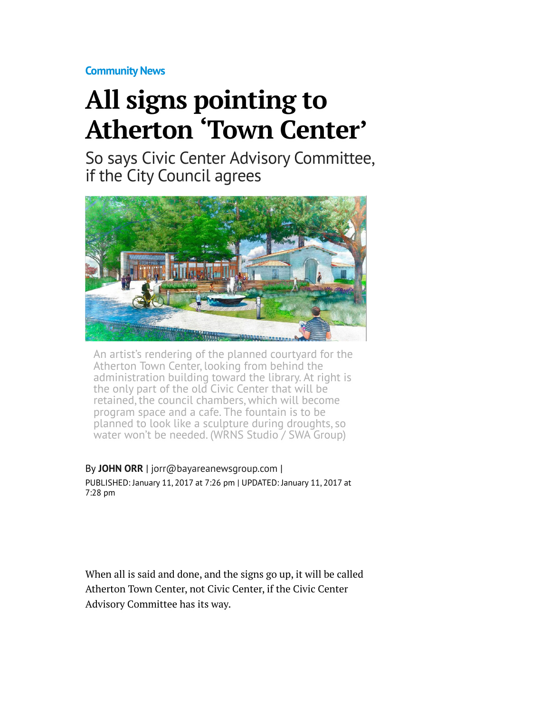**[Community News](http://www.mercurynews.com/community-news/)**

## **All signs pointing to Atherton 'Town Center'**

So says Civic Center Advisory Committee, if the City Council agrees



An artist's rendering of the planned courtyard for the Atherton Town Center, looking from behind the administration building toward the library. At right is the only part of the old Civic Center that will be retained, the council chambers, which will become program space and a cafe. The fountain is to be planned to look like a sculpture during droughts, so water won't be needed. (WRNS Studio / SWA Group)

By **[JOHN ORR](http://www.mercurynews.com/author/john-orr/)** | [jorr@bayareanewsgroup.com](mailto:jorr@bayareanewsgroup.com) | PUBLISHED: January 11, 2017 at 7:26 pm | UPDATED: January 11, 2017 at 7:28 pm

When all is said and done, and the signs go up, it will be called Atherton Town Center, not Civic Center, if the Civic Center Advisory Committee has its way.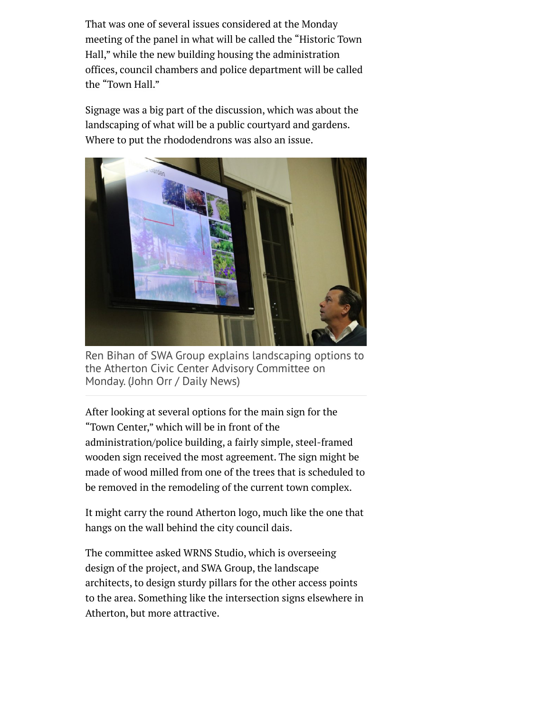That was one of several issues considered at the Monday meeting of the panel in what will be called the "Historic Town Hall," while the new building housing the administration offices, council chambers and police department will be called the "Town Hall."

Signage was a big part of the discussion, which was about the landscaping of what will be a public courtyard and gardens. Where to put the rhododendrons was also an issue.



Ren Bihan of SWA Group explains landscaping options to the Atherton Civic Center Advisory Committee on Monday. (John Orr / Daily News)

After looking at several options for the main sign for the "Town Center," which will be in front of the administration/police building, a fairly simple, steel-framed wooden sign received the most agreement. The sign might be made of wood milled from one of the trees that is scheduled to be removed in the remodeling of the current town complex.

It might carry the round Atherton logo, much like the one that hangs on the wall behind the city council dais.

The committee asked WRNS Studio, which is overseeing design of the project, and SWA Group, the landscape architects, to design sturdy pillars for the other access points to the area. Something like the intersection signs elsewhere in Atherton, but more attractive.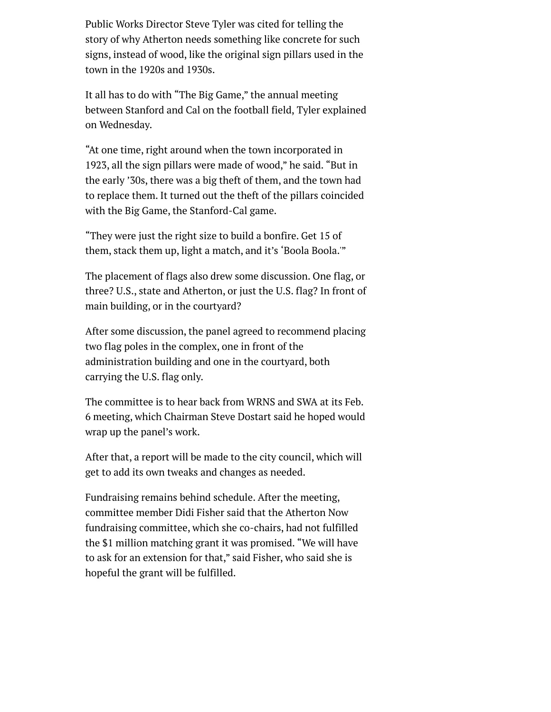Public Works Director Steve Tyler was cited for telling the story of why Atherton needs something like concrete for such signs, instead of wood, like the original sign pillars used in the town in the 1920s and 1930s.

It all has to do with "The Big Game," the annual meeting between Stanford and Cal on the football field, Tyler explained on Wednesday.

"At one time, right around when the town incorporated in 1923, all the sign pillars were made of wood," he said. "But in the early '30s, there was a big theft of them, and the town had to replace them. It turned out the theft of the pillars coincided with the Big Game, the Stanford-Cal game.

"They were just the right size to build a bonfire. Get 15 of them, stack them up, light a match, and it's 'Boola Boola.'"

The placement of flags also drew some discussion. One flag, or three? U.S., state and Atherton, or just the U.S. flag? In front of main building, or in the courtyard?

After some discussion, the panel agreed to recommend placing two flag poles in the complex, one in front of the administration building and one in the courtyard, both carrying the U.S. flag only.

The committee is to hear back from WRNS and SWA at its Feb. 6 meeting, which Chairman Steve Dostart said he hoped would wrap up the panel's work.

After that, a report will be made to the city council, which will get to add its own tweaks and changes as needed.

Fundraising remains behind schedule. After the meeting, committee member Didi Fisher said that the Atherton Now fundraising committee, which she co-chairs, had not fulfilled the \$1 million matching grant it was promised. "We will have to ask for an extension for that," said Fisher, who said she is hopeful the grant will be fulfilled.